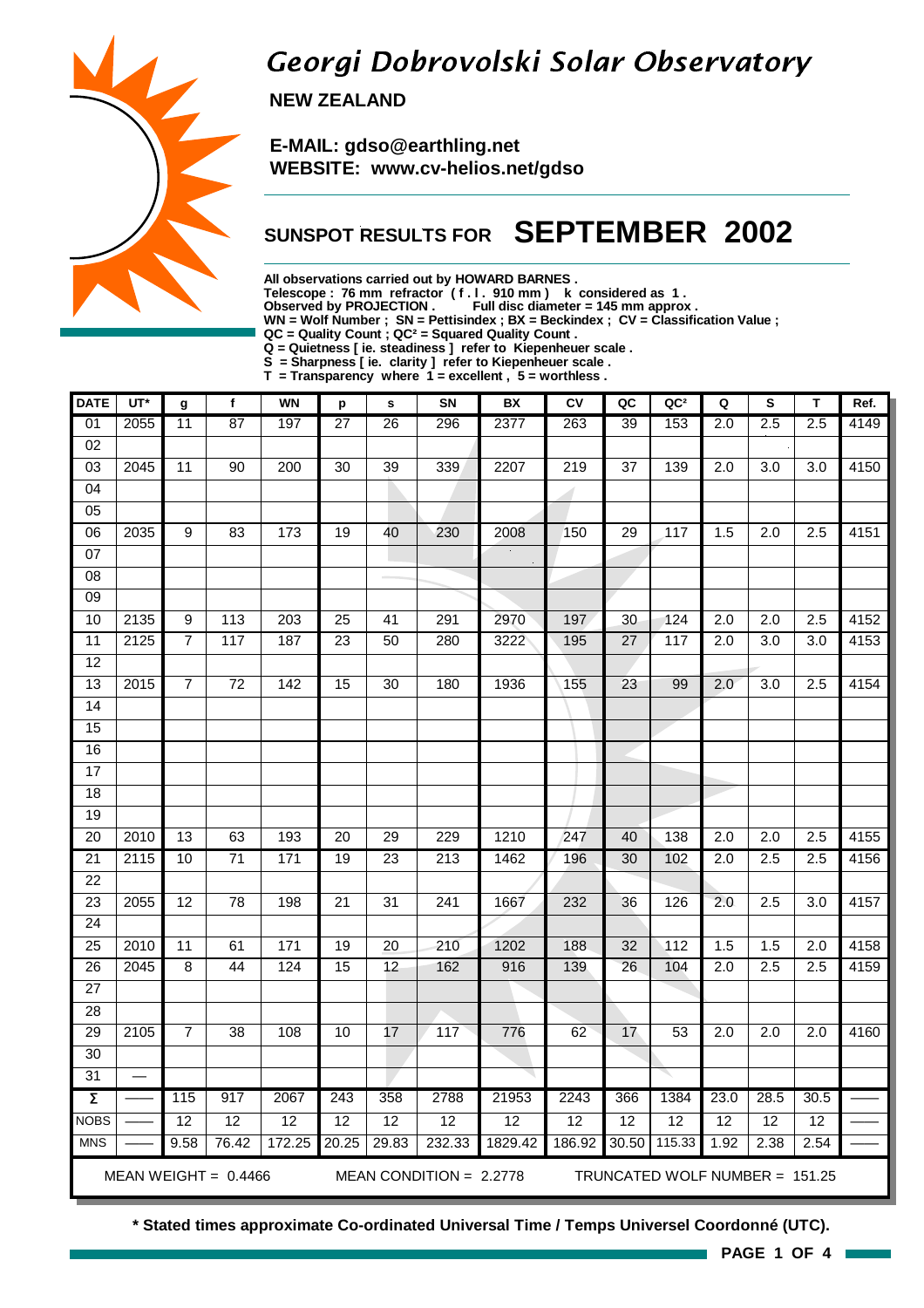### Georgi Dobrovolski Solar Observatory

 **NEW ZEALAND**

 **E-MAIL: gdso@earthling.net WEBSITE: www.cv-helios.net/gdso**

### **SUNSPOT RESULTS FOR SEPTEMBER 2002**

**All observations carried out by HOWARD BARNES .**

**Telescope : 76 mm refractor ( f . l . 910 mm ) k considered as 1 .**

**Observed by PROJECTION . Full disc diameter = 145 mm approx .**

**WN = Wolf Number ; SN = Pettisindex ; BX = Beckindex ; CV = Classification Value ;**

**QC = Quality Count ; QC² = Squared Quality Count .**

**Q = Quietness [ ie. steadiness ] refer to Kiepenheuer scale .**

**S = Sharpness [ ie. clarity ] refer to Kiepenheuer scale . T = Transparency where 1 = excellent , 5 = worthless .**

| <b>DATE</b>         | $UT^*$ | g               | f                      | <b>WN</b>        | р               | $\mathbf s$     | SN                        | BX              | ${\sf CV}$      | QC              | QC <sup>2</sup>                | Q                | S                | T                | Ref. |
|---------------------|--------|-----------------|------------------------|------------------|-----------------|-----------------|---------------------------|-----------------|-----------------|-----------------|--------------------------------|------------------|------------------|------------------|------|
| 01                  | 2055   | 11              | 87                     | 197              | 27              | 26              | 296                       | 2377            | 263             | 39              | 153                            | 2.0              | 2.5              | 2.5              | 4149 |
| $\overline{02}$     |        |                 |                        |                  |                 |                 |                           |                 |                 |                 |                                |                  |                  |                  |      |
| $\overline{03}$     | 2045   | 11              | 90                     | 200              | $\overline{30}$ | $\overline{39}$ | 339                       | 2207            | 219             | 37              | 139                            | 2.0              | 3.0              | 3.0              | 4150 |
| 04                  |        |                 |                        |                  |                 |                 |                           |                 |                 |                 |                                |                  |                  |                  |      |
| 05                  |        |                 |                        |                  |                 |                 |                           |                 |                 |                 |                                |                  |                  |                  |      |
| 06                  | 2035   | $\overline{9}$  | 83                     | 173              | 19              | 40              | 230                       | 2008            | 150             | 29              | 117                            | 1.5              | 2.0              | 2.5              | 4151 |
| 07                  |        |                 |                        |                  |                 |                 |                           |                 |                 |                 |                                |                  |                  |                  |      |
| 08                  |        |                 |                        |                  |                 |                 |                           |                 |                 |                 |                                |                  |                  |                  |      |
| $\overline{09}$     |        |                 |                        |                  |                 |                 |                           |                 |                 |                 |                                |                  |                  |                  |      |
| 10                  | 2135   | 9               | $\frac{1}{13}$         | $\overline{203}$ | $\overline{25}$ | $\overline{41}$ | 291                       | 2970            | 197             | 30              | $\overline{124}$               | $\overline{2.0}$ | $\overline{2.0}$ | $\overline{2.5}$ | 4152 |
| $\overline{11}$     | 2125   | $\overline{7}$  | 117                    | 187              | $\overline{23}$ | $\overline{50}$ | 280                       | 3222            | 195             | 27              | 117                            | $\overline{2.0}$ | $\overline{3.0}$ | 3.0              | 4153 |
| 12                  |        |                 |                        |                  |                 |                 |                           |                 |                 |                 |                                |                  |                  |                  |      |
| 13                  | 2015   | $\overline{7}$  | $\overline{72}$        | 142              | $\overline{15}$ | $\overline{30}$ | 180                       | 1936            | 155             | $\overline{23}$ | 99                             | 2.0              | $\overline{3.0}$ | 2.5              | 4154 |
| 14                  |        |                 |                        |                  |                 |                 |                           |                 |                 |                 |                                |                  |                  |                  |      |
| 15                  |        |                 |                        |                  |                 |                 |                           |                 |                 |                 |                                |                  |                  |                  |      |
| 16                  |        |                 |                        |                  |                 |                 |                           |                 |                 |                 |                                |                  |                  |                  |      |
| 17                  |        |                 |                        |                  |                 |                 |                           |                 |                 |                 |                                |                  |                  |                  |      |
| 18                  |        |                 |                        |                  |                 |                 |                           |                 |                 |                 |                                |                  |                  |                  |      |
| 19                  |        |                 |                        |                  |                 |                 |                           |                 |                 |                 |                                |                  |                  |                  |      |
| $\overline{20}$     | 2010   | $\overline{13}$ | 63                     | 193              | $\overline{20}$ | 29              | 229                       | 1210            | 247             | 40              | 138                            | $\overline{2.0}$ | $\overline{2.0}$ | 2.5              | 4155 |
| 21                  | 2115   | 10              | $\overline{71}$        | 171              | 19              | 23              | 213                       | 1462            | 196             | 30              | 102                            | $\overline{2.0}$ | 2.5              | 2.5              | 4156 |
| $\overline{22}$     |        |                 |                        |                  |                 |                 |                           |                 |                 |                 |                                |                  |                  |                  |      |
| $\overline{23}$     | 2055   | 12              | 78                     | 198              | $\overline{21}$ | 31              | $\overline{241}$          | 1667            | 232             | 36              | 126                            | 2.0              | 2.5              | $\overline{3.0}$ | 4157 |
| $\overline{24}$     |        |                 |                        |                  |                 |                 |                           |                 |                 |                 |                                |                  |                  |                  |      |
| $\overline{25}$     | 2010   | $\overline{11}$ | 61                     | 171              | 19              | $\overline{20}$ | 210                       | 1202            | 188             | 32              | $\overline{112}$               | 1.5              | 1.5              | $\overline{2.0}$ | 4158 |
| $\overline{26}$     | 2045   | 8               | 44                     | 124              | 15              | 12              | 162                       | 916             | 139             | $\overline{26}$ | 104                            | $\overline{2.0}$ | 2.5              | 2.5              | 4159 |
| $\overline{27}$     |        |                 |                        |                  |                 |                 |                           |                 |                 |                 |                                |                  |                  |                  |      |
| 28                  |        |                 |                        |                  |                 |                 |                           |                 |                 |                 |                                |                  |                  |                  |      |
| 29                  | 2105   | $\overline{7}$  | 38                     | 108              | 10              | 17              | 117                       | 776             | 62              | 17              | 53                             | 2.0              | 2.0              | 2.0              | 4160 |
| $\overline{30}$     |        |                 |                        |                  |                 |                 |                           |                 |                 |                 |                                |                  |                  |                  |      |
| $\overline{31}$     |        |                 |                        |                  |                 |                 |                           |                 |                 |                 |                                |                  |                  |                  |      |
| $\overline{\Sigma}$ |        | 115             | 917                    | 2067             | 243             | 358             | 2788                      | 21953           | 2243            | 366             | 1384                           | 23.0             | 28.5             | 30.5             |      |
| <b>NOBS</b>         |        | $\overline{12}$ | 12                     | 12               | $\overline{12}$ | 12              | $\overline{12}$           | $\overline{12}$ | $\overline{12}$ | $\overline{12}$ | 12                             | 12               | $\overline{12}$  | $\overline{12}$  |      |
| <b>MNS</b>          |        | 9.58            | $76.\overline{42}$     | 172.25           | 20.25           | 29.83           | 232.33                    | 1829.42         | 186.92          | 30.50           | 115.33                         | 1.92             | 2.38             | 2.54             |      |
|                     |        |                 | MEAN WEIGHT = $0.4466$ |                  |                 |                 | MEAN CONDITION = $2.2778$ |                 |                 |                 | TRUNCATED WOLF NUMBER = 151.25 |                  |                  |                  |      |

**\* Stated times approximate Co-ordinated Universal Time / Temps Universel Coordonné (UTC).**

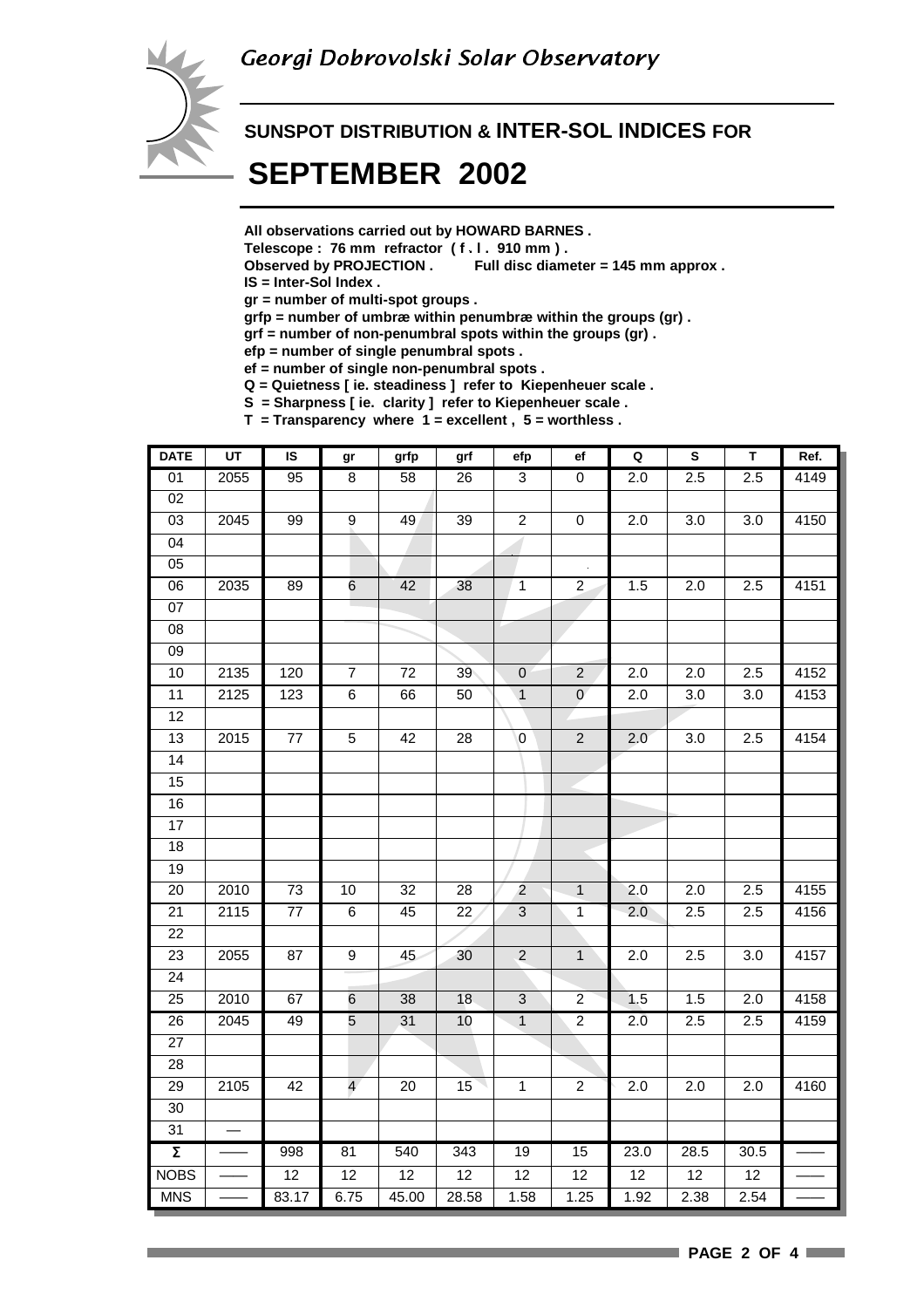

#### **SUNSPOT DISTRIBUTION & INTER-SOL INDICES FOR**

## **SEPTEMBER 2002**

**All observations carried out by HOWARD BARNES .**

- **Telescope : 76 mm refractor ( f . l . 910 mm ) .**
- **Observed by PROJECTION . Full disc diameter = 145 mm approx .**

**IS = Inter-Sol Index .**

**gr = number of multi-spot groups .**

**grfp = number of umbræ within penumbræ within the groups (gr) .**

**grf = number of non-penumbral spots within the groups (gr) .**

**efp = number of single penumbral spots .**

**ef = number of single non-penumbral spots .**

**Q = Quietness [ ie. steadiness ] refer to Kiepenheuer scale .**

**S = Sharpness [ ie. clarity ] refer to Kiepenheuer scale .**

**T = Transparency where 1 = excellent , 5 = worthless .**

| <b>DATE</b>         | $\overline{u}$ | IS              | gr              | grfp            | grf             | efp              | ef               | Q                | $\mathbf S$      | $\mathsf T$      | Ref. |
|---------------------|----------------|-----------------|-----------------|-----------------|-----------------|------------------|------------------|------------------|------------------|------------------|------|
| 01                  | 2055           | 95              | $\overline{8}$  | 58              | $\overline{26}$ | $\overline{3}$   | $\overline{0}$   | 2.0              | 2.5              | 2.5              | 4149 |
| 02                  |                |                 |                 |                 |                 |                  |                  |                  |                  |                  |      |
| 03                  | 2045           | 99              | 9               | 49              | 39              | $\boldsymbol{2}$ | $\pmb{0}$        | 2.0              | 3.0              | 3.0              | 4150 |
| $\overline{04}$     |                |                 |                 |                 |                 |                  |                  |                  |                  |                  |      |
| 05                  |                |                 |                 |                 |                 |                  |                  |                  |                  |                  |      |
| $\overline{06}$     | 2035           | 89              | $6\overline{6}$ | 42              | 38              | $\overline{1}$   | $\overline{2}$   | 1.5              | 2.0              | 2.5              | 4151 |
| $\overline{07}$     |                |                 |                 |                 |                 |                  |                  |                  |                  |                  |      |
| $\overline{08}$     |                |                 |                 |                 |                 |                  |                  |                  |                  |                  |      |
| $\overline{09}$     |                |                 |                 |                 |                 |                  |                  |                  |                  |                  |      |
| 10                  | 2135           | 120             | $\overline{7}$  | $\overline{72}$ | 39              | $\overline{0}$   | $\overline{2}$   | $\overline{2.0}$ | $\overline{2.0}$ | 2.5              | 4152 |
| 11                  | 2125           | 123             | $6\overline{6}$ | 66              | 50              | $\overline{1}$   | $\pmb{0}$        | 2.0              | 3.0              | 3.0              | 4153 |
| $\overline{12}$     |                |                 |                 |                 |                 |                  |                  |                  |                  |                  |      |
| 13                  | 2015           | $\overline{77}$ | $\overline{5}$  | 42              | $\overline{28}$ | $\overline{0}$   | $\overline{2}$   | 2.0              | $\overline{3.0}$ | 2.5              | 4154 |
| $\overline{14}$     |                |                 |                 |                 |                 |                  |                  |                  |                  |                  |      |
| 15                  |                |                 |                 |                 |                 |                  |                  |                  |                  |                  |      |
| 16                  |                |                 |                 |                 |                 |                  |                  |                  |                  |                  |      |
| 17                  |                |                 |                 |                 |                 |                  |                  |                  |                  |                  |      |
| $\overline{18}$     |                |                 |                 |                 |                 |                  |                  |                  |                  |                  |      |
| 19                  |                |                 |                 |                 |                 |                  |                  |                  |                  |                  |      |
| 20                  | 2010           | 73              | 10              | 32              | 28              | $\overline{c}$   | $\mathbf{1}$     | 2.0              | 2.0              | 2.5              | 4155 |
| $\overline{21}$     | 2115           | $\overline{77}$ | $\overline{6}$  | 45              | 22              | $\overline{3}$   | $\overline{1}$   | 2.0              | 2.5              | 2.5              | 4156 |
| 22                  |                |                 |                 |                 |                 |                  |                  |                  |                  |                  |      |
| 23                  | 2055           | 87              | 9               | 45              | 30              | $\mathbf 2$      | $\mathbf{1}$     | 2.0              | 2.5              | 3.0              | 4157 |
| $\overline{24}$     |                |                 |                 |                 |                 |                  |                  |                  |                  |                  |      |
| $\overline{25}$     | 2010           | 67              | 6               | 38              | 18              | $\overline{3}$   | $\overline{2}$   | 1.5              | $\overline{1.5}$ | $\overline{2.0}$ | 4158 |
| $\overline{26}$     | 2045           | 49              | $\overline{5}$  | 31              | 10              | $\overline{1}$   | $\overline{2}$   | $2.\overline{0}$ | 2.5              | 2.5              | 4159 |
| $\overline{27}$     |                |                 |                 |                 |                 |                  |                  |                  |                  |                  |      |
| $\overline{28}$     |                |                 |                 |                 |                 |                  |                  |                  |                  |                  |      |
| 29                  | 2105           | 42              | $\overline{4}$  | 20              | 15              | $\overline{1}$   | $\boldsymbol{2}$ | 2.0              | 2.0              | 2.0              | 4160 |
| $\overline{30}$     |                |                 |                 |                 |                 |                  |                  |                  |                  |                  |      |
| 31                  |                |                 |                 |                 |                 |                  |                  |                  |                  |                  |      |
| $\overline{\Sigma}$ |                | 998             | 81              | 540             | 343             | 19               | 15               | 23.0             | 28.5             | 30.5             |      |
| <b>NOBS</b>         |                | $\overline{12}$ | 12              | 12              | 12              | 12               | 12               | 12               | 12               | 12               |      |
| <b>MNS</b>          |                | 83.17           | 6.75            | 45.00           | 28.58           | 1.58             | 1.25             | 1.92             | 2.38             | 2.54             |      |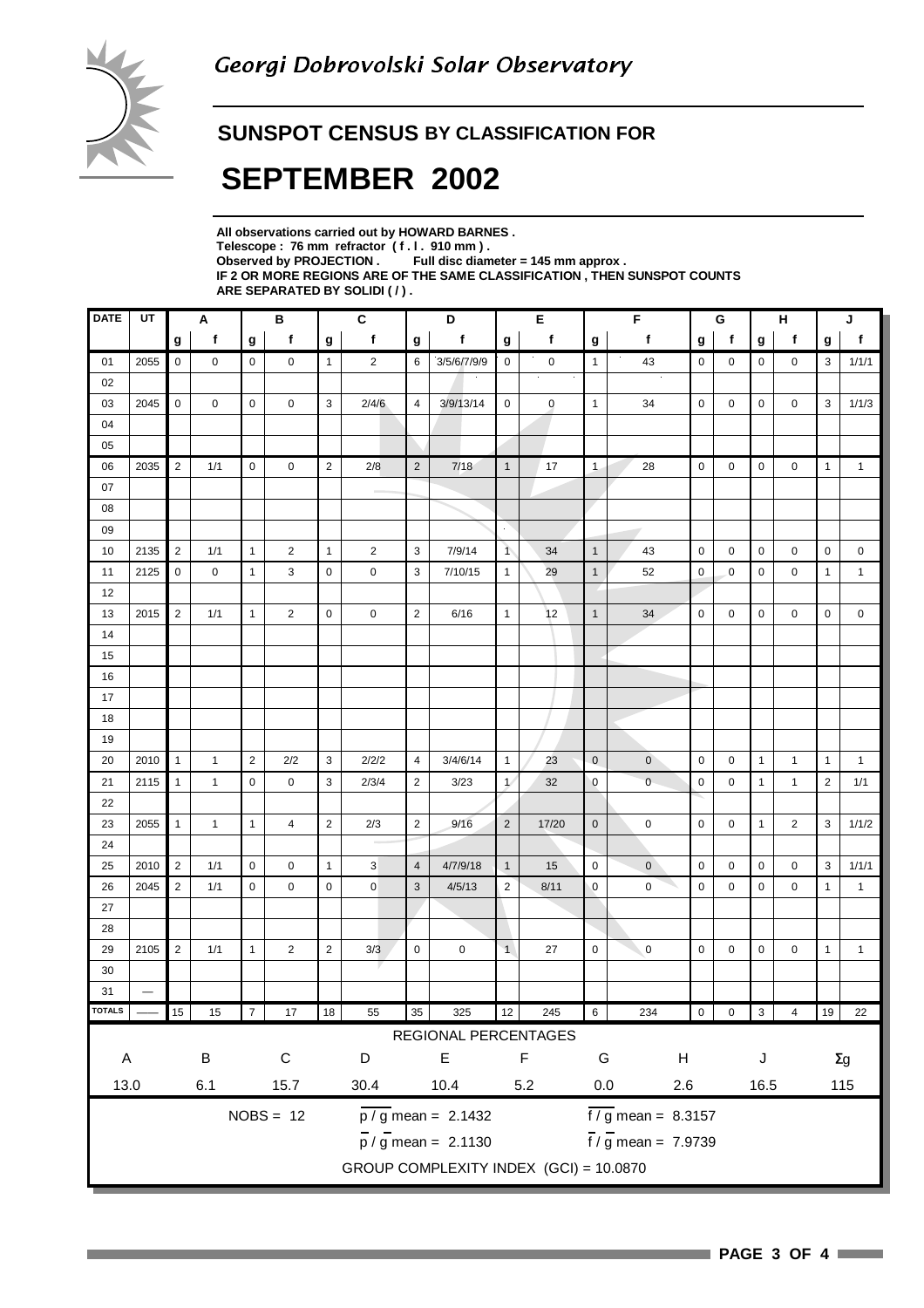#### **SUNSPOT CENSUS BY CLASSIFICATION FOR**

# **SEPTEMBER 2002**

| All observations carried out by HOWARD BARNES.                            |
|---------------------------------------------------------------------------|
| Telescope: 76 mm refractor (f.l. 910 mm).                                 |
| Observed by PROJECTION $\,$ . Full disc diameter = 145 mm approx .        |
| IF 2 OR MORE REGIONS ARE OF THE SAME CLASSIFICATION . THEN SUNSPOT COUNTS |
| ARE SEPARATED BY SOLIDI ( / ).                                            |

| <b>DATE</b>                                                  | UT                       | В<br>Α         |              |                | $\mathbf{C}$   |                | D              |                |                                        | Е                       |             | $\overline{F}$   |                                 | G           |              | н            |                         | J              |              |
|--------------------------------------------------------------|--------------------------|----------------|--------------|----------------|----------------|----------------|----------------|----------------|----------------------------------------|-------------------------|-------------|------------------|---------------------------------|-------------|--------------|--------------|-------------------------|----------------|--------------|
|                                                              |                          | g              | f            | g              | f              | g              | f              | g              | f                                      | g                       | $\mathbf f$ | $\boldsymbol{g}$ | $\mathbf f$                     | g           | $\mathbf{f}$ | g            | $\mathsf f$             | g              | $\mathbf f$  |
| 01                                                           | 2055                     | $\mathsf 0$    | 0            | $\mathbf 0$    | $\mathbf 0$    | $\mathbf{1}$   | $\overline{2}$ | 6              | 3/5/6/7/9/9                            | 0                       | $\pmb{0}$   | $\mathbf{1}$     | 43                              | $\mathbf 0$ | $\mathbf 0$  | 0            | 0                       | 3              | 1/1/1        |
| 02                                                           |                          |                |              |                |                |                |                |                |                                        |                         | $\bullet$   |                  |                                 |             |              |              |                         |                |              |
| 03                                                           | 2045                     | $\pmb{0}$      | 0            | 0              | $\mathbf 0$    | 3              | 2/4/6          | 4              | 3/9/13/14                              | $\mathbf 0$             | $\pmb{0}$   | $\mathbf{1}$     | 34                              | $\mathbf 0$ | 0            | 0            | 0                       | 3              | 1/1/3        |
| 04                                                           |                          |                |              |                |                |                |                |                |                                        |                         |             |                  |                                 |             |              |              |                         |                |              |
| 05                                                           |                          |                |              |                |                |                |                |                |                                        |                         |             |                  |                                 |             |              |              |                         |                |              |
| 06                                                           | 2035                     | $\overline{2}$ | 1/1          | $\mathbf 0$    | $\mathbf 0$    | $\sqrt{2}$     | 2/8            | $\sqrt{2}$     | 7/18                                   | $\mathbf{1}$            | 17          | $\mathbf{1}$     | 28                              | $\mathbf 0$ | $\mathbf 0$  | 0            | $\mathbf 0$             | $\mathbf{1}$   | $\mathbf{1}$ |
| 07                                                           |                          |                |              |                |                |                |                |                |                                        |                         |             |                  |                                 |             |              |              |                         |                |              |
| 08                                                           |                          |                |              |                |                |                |                |                |                                        |                         |             |                  |                                 |             |              |              |                         |                |              |
| 09                                                           |                          |                |              |                |                |                |                |                |                                        | $\mathcal{L}$           |             |                  |                                 |             |              |              |                         |                |              |
| 10                                                           | 2135                     | $\sqrt{2}$     | 1/1          | $\mathbf{1}$   | 2              | $\mathbf{1}$   | $\overline{2}$ | 3              | 7/9/14                                 | $\overline{1}$          | 34          | $\mathbf{1}$     | 43                              | $\mathbf 0$ | $\mathbf 0$  | 0            | 0                       | $\mathbf 0$    | 0            |
| 11                                                           | 2125                     | $\mathbf 0$    | 0            | $\mathbf{1}$   | 3              | $\mathbf 0$    | 0              | 3              | 7/10/15                                | $\mathbf{1}$            | 29          | $\mathbf{1}$     | 52                              | $\pmb{0}$   | $\mathbf{0}$ | 0            | 0                       | $\mathbf{1}$   | $\mathbf{1}$ |
| 12                                                           |                          |                |              |                |                |                |                |                |                                        |                         |             |                  |                                 |             |              |              |                         |                |              |
| 13                                                           | 2015                     | $\mathbf 2$    | 1/1          | $\mathbf{1}$   | $\overline{2}$ | 0              | $\mathsf 0$    | $\sqrt{2}$     | 6/16                                   | $\mathbf{1}$            | 12          | $\mathbf{1}$     | 34                              | $\pmb{0}$   | $\mathbf 0$  | 0            | $\mathbf 0$             | 0              | $\mathbf 0$  |
| 14                                                           |                          |                |              |                |                |                |                |                |                                        |                         |             |                  |                                 |             |              |              |                         |                |              |
| 15                                                           |                          |                |              |                |                |                |                |                |                                        |                         |             |                  |                                 |             |              |              |                         |                |              |
| 16                                                           |                          |                |              |                |                |                |                |                |                                        |                         |             |                  |                                 |             |              |              |                         |                |              |
| 17                                                           |                          |                |              |                |                |                |                |                |                                        |                         |             |                  |                                 |             |              |              |                         |                |              |
| 18                                                           |                          |                |              |                |                |                |                |                |                                        |                         |             |                  |                                 |             |              |              |                         |                |              |
| 19                                                           |                          |                |              |                |                |                |                |                |                                        |                         |             |                  |                                 |             |              |              |                         |                |              |
| 20                                                           | 2010                     | $\mathbf{1}$   | $\mathbf{1}$ | $\overline{2}$ | 2/2            | 3              | 2/2/2          | 4              | 3/4/6/14                               | $\mathbf{1}$            | 23          | $\mathbf{0}$     | $\overline{0}$                  | $\mathbf 0$ | $\mathbf 0$  | $\mathbf{1}$ | $\mathbf{1}$            | $\mathbf{1}$   | $\mathbf{1}$ |
| 21                                                           | 2115                     | $\mathbf{1}$   | $\mathbf{1}$ | $\mathbf 0$    | 0              | 3              | 2/3/4          | $\overline{2}$ | 3/23                                   | $\mathcal{U}$           | 32          | $\mathbf 0$      | $\mathsf 0$                     | $\mathbf 0$ | $\mathbf 0$  | $\mathbf{1}$ | $\mathbf{1}$            | $\overline{2}$ | 1/1          |
| 22                                                           |                          |                |              |                |                |                |                |                |                                        |                         |             |                  |                                 |             |              |              |                         |                |              |
| 23                                                           | 2055                     | $\mathbf{1}$   | $\mathbf{1}$ | $\mathbf{1}$   | 4              | $\overline{2}$ | 2/3            | $\overline{2}$ | 9/16                                   | $\overline{2}$          | 17/20       | $\pmb{0}$        | $\mathbf 0$                     | $\mathbf 0$ | 0            | $\mathbf{1}$ | $\overline{2}$          | 3              | 1/1/2        |
| 24                                                           |                          |                |              |                |                |                |                |                |                                        |                         |             |                  |                                 |             |              |              |                         |                |              |
| 25                                                           | 2010                     | $\overline{2}$ | 1/1          | $\mathbf 0$    | 0              | $\mathbf{1}$   | 3              | $\overline{4}$ | 4/7/9/18                               | $\mathbf{1}$            | 15          | $\mathbf 0$      | $\mathbf 0$                     | $\mathbf 0$ | $\mathbf 0$  | 0            | 0                       | 3              | 1/1/1        |
| 26                                                           | 2045                     | $\overline{2}$ | 1/1          | $\mathbf 0$    | 0              | $\pmb{0}$      | $\mathbf 0$    | $\mathbf{3}$   | 4/5/13                                 | $\overline{\mathbf{c}}$ | 8/11        | $\pmb{0}$        | 0                               | $\mathbf 0$ | 0            | 0            | 0                       | $\mathbf{1}$   | $\mathbf{1}$ |
| 27                                                           |                          |                |              |                |                |                |                |                |                                        |                         |             |                  |                                 |             |              |              |                         |                |              |
| 28                                                           |                          |                |              |                |                |                |                |                |                                        |                         |             |                  |                                 |             |              |              |                         |                |              |
| 29                                                           | 2105                     | $\overline{2}$ | 1/1          | $\mathbf{1}$   | $\overline{2}$ | $\overline{2}$ | 3/3            | 0              | 0                                      | $\overline{1}$          | 27          | 0                | $\overline{0}$                  | 0           | 0            | 0            | 0                       | $\mathbf{1}$   | $\mathbf{1}$ |
| 30                                                           |                          |                |              |                |                |                |                |                |                                        |                         |             |                  |                                 |             |              |              |                         |                |              |
| 31                                                           | $\overline{\phantom{0}}$ |                |              |                |                |                |                |                |                                        |                         |             |                  |                                 |             |              |              |                         |                |              |
| <b>TOTALS</b>                                                |                          | 15             | 15           | $\overline{7}$ | $17\,$         | 18             | 55             | $35\,$         | 325                                    | 12                      | 245         | $\,$ 6 $\,$      | 234                             | $\mathbf 0$ | $\mathbf 0$  | $\mathbf 3$  | $\overline{\mathbf{4}}$ | 19             | 22           |
|                                                              |                          |                |              |                |                |                |                |                | REGIONAL PERCENTAGES                   |                         |             |                  |                                 |             |              |              |                         |                |              |
| A                                                            |                          |                | $\sf B$      |                | $\mathsf C$    |                | $\mathsf D$    |                | E                                      |                         | F           | G                | H                               |             |              | J            |                         | $\Sigma g$     |              |
| 13.0<br>6.1<br>15.7                                          |                          |                |              | 30.4           | 10.4<br>5.2    |                |                |                | $0.0\,$<br>2.6                         |                         |             |                  | 16.5                            |             | 115          |              |                         |                |              |
|                                                              |                          |                |              |                |                |                |                |                |                                        |                         |             |                  |                                 |             |              |              |                         |                |              |
| $NOBS = 12$<br>$\frac{\overline{p}}{\sqrt{g}}$ mean = 2.1432 |                          |                |              |                |                |                |                |                |                                        |                         |             |                  | $\frac{1}{6}$ mean = 8.3157     |             |              |              |                         |                |              |
|                                                              |                          |                |              |                |                |                |                |                | $\overline{p}$ / g mean = 2.1130       |                         |             |                  | $\frac{1}{1}$ / g mean = 7.9739 |             |              |              |                         |                |              |
|                                                              |                          |                |              |                |                |                |                |                | GROUP COMPLEXITY INDEX (GCI) = 10.0870 |                         |             |                  |                                 |             |              |              |                         |                |              |